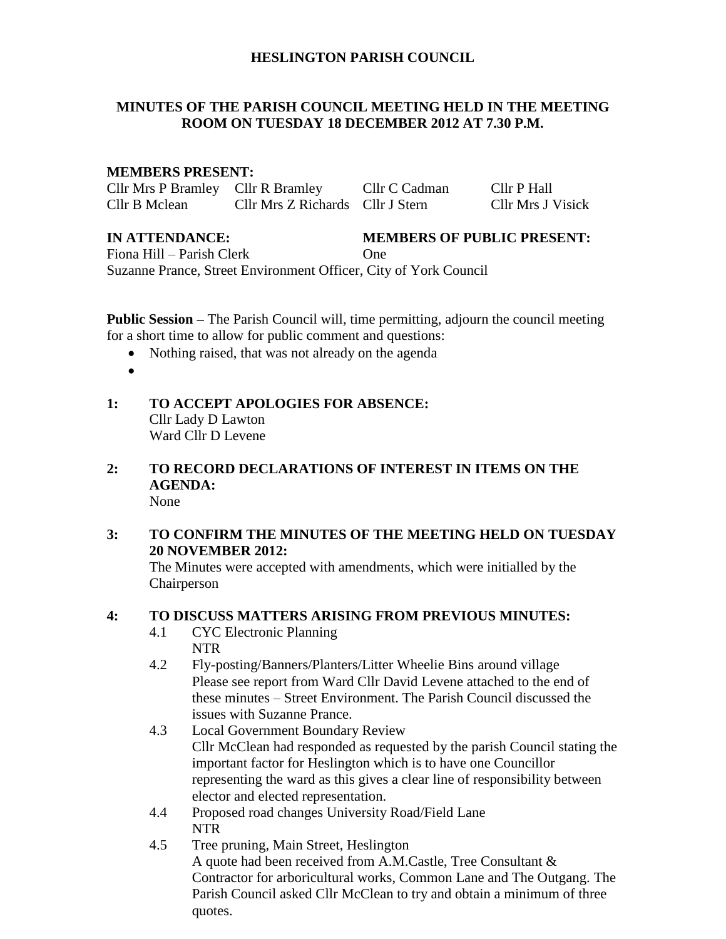## **HESLINGTON PARISH COUNCIL**

# **MINUTES OF THE PARISH COUNCIL MEETING HELD IN THE MEETING ROOM ON TUESDAY 18 DECEMBER 2012 AT 7.30 P.M.**

## **MEMBERS PRESENT:**

Cllr Mrs P Bramley Cllr R Bramley Cllr C Cadman Cllr P Hall Cllr B Mclean Cllr Mrs Z Richards Cllr J Stern Cllr Mrs J Visick

# **IN ATTENDANCE: MEMBERS OF PUBLIC PRESENT:**

Fiona Hill – Parish Clerk **One** Suzanne Prance, Street Environment Officer, City of York Council

**Public Session –** The Parish Council will, time permitting, adjourn the council meeting for a short time to allow for public comment and questions:

- Nothing raised, that was not already on the agenda
- $\bullet$
- **1: TO ACCEPT APOLOGIES FOR ABSENCE:** Cllr Lady D Lawton Ward Cllr D Levene
- **2: TO RECORD DECLARATIONS OF INTEREST IN ITEMS ON THE AGENDA:** None
- **3: TO CONFIRM THE MINUTES OF THE MEETING HELD ON TUESDAY 20 NOVEMBER 2012:**

The Minutes were accepted with amendments, which were initialled by the Chairperson

# **4: TO DISCUSS MATTERS ARISING FROM PREVIOUS MINUTES:**

- 4.1 CYC Electronic Planning NTR
- 4.2 Fly-posting/Banners/Planters/Litter Wheelie Bins around village Please see report from Ward Cllr David Levene attached to the end of these minutes – Street Environment. The Parish Council discussed the issues with Suzanne Prance.
- 4.3 Local Government Boundary Review Cllr McClean had responded as requested by the parish Council stating the important factor for Heslington which is to have one Councillor representing the ward as this gives a clear line of responsibility between elector and elected representation.
- 4.4 Proposed road changes University Road/Field Lane NTR
- 4.5 Tree pruning, Main Street, Heslington A quote had been received from A.M.Castle, Tree Consultant & Contractor for arboricultural works, Common Lane and The Outgang. The Parish Council asked Cllr McClean to try and obtain a minimum of three quotes.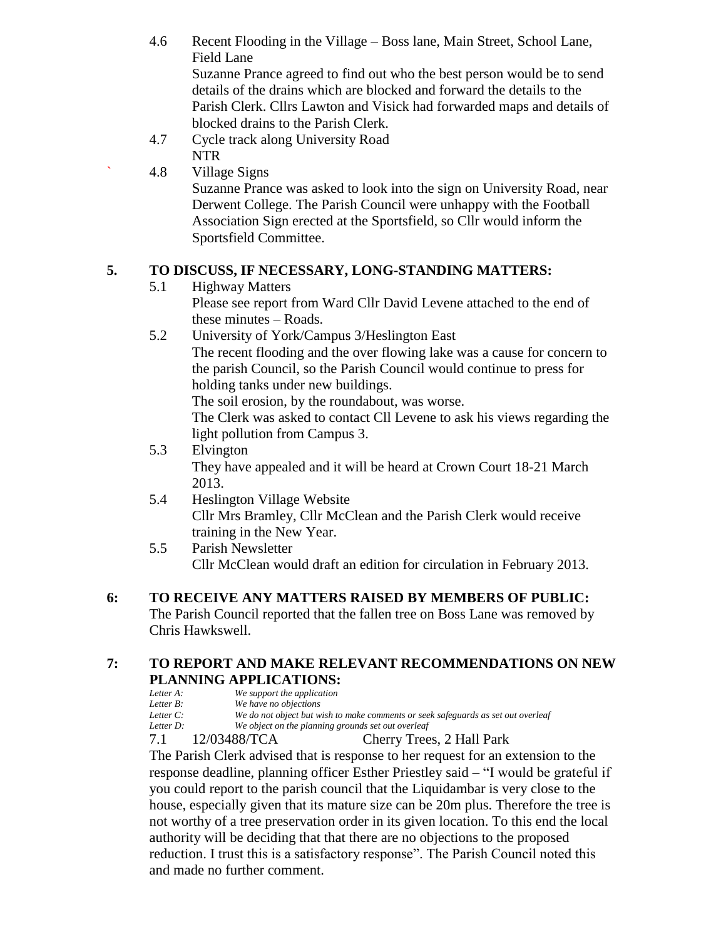- 4.6 Recent Flooding in the Village Boss lane, Main Street, School Lane, Field Lane Suzanne Prance agreed to find out who the best person would be to send details of the drains which are blocked and forward the details to the Parish Clerk. Cllrs Lawton and Visick had forwarded maps and details of
	- blocked drains to the Parish Clerk.
- 4.7 Cycle track along University Road NTR

# ` 4.8 Village Signs Suzanne Prance was asked to look into the sign on University Road, near Derwent College. The Parish Council were unhappy with the Football Association Sign erected at the Sportsfield, so Cllr would inform the Sportsfield Committee.

# **5. TO DISCUSS, IF NECESSARY, LONG-STANDING MATTERS:**

5.1 Highway Matters

Please see report from Ward Cllr David Levene attached to the end of these minutes – Roads.

5.2 University of York/Campus 3/Heslington East The recent flooding and the over flowing lake was a cause for concern to the parish Council, so the Parish Council would continue to press for holding tanks under new buildings. The soil erosion, by the roundabout, was worse.

The Clerk was asked to contact Cll Levene to ask his views regarding the light pollution from Campus 3.

# 5.3 Elvington

They have appealed and it will be heard at Crown Court 18-21 March 2013.

- 5.4 Heslington Village Website Cllr Mrs Bramley, Cllr McClean and the Parish Clerk would receive training in the New Year.
- 5.5 Parish Newsletter Cllr McClean would draft an edition for circulation in February 2013.

#### **6: TO RECEIVE ANY MATTERS RAISED BY MEMBERS OF PUBLIC:**

The Parish Council reported that the fallen tree on Boss Lane was removed by Chris Hawkswell.

# **7: TO REPORT AND MAKE RELEVANT RECOMMENDATIONS ON NEW PLANNING APPLICATIONS:**

| Letter A:    | We support the application                                                        |
|--------------|-----------------------------------------------------------------------------------|
| Letter B:    | We have no objections                                                             |
| Letter $C$ : | We do not object but wish to make comments or seek safeguards as set out overleaf |
|              |                                                                                   |
| Letter D:    | We object on the planning grounds set out overleaf                                |

7.1 12/03488/TCA Cherry Trees, 2 Hall Park

The Parish Clerk advised that is response to her request for an extension to the response deadline, planning officer Esther Priestley said – "I would be grateful if you could report to the parish council that the Liquidambar is very close to the house, especially given that its mature size can be 20m plus. Therefore the tree is not worthy of a tree preservation order in its given location. To this end the local authority will be deciding that that there are no objections to the proposed reduction. I trust this is a satisfactory response". The Parish Council noted this and made no further comment.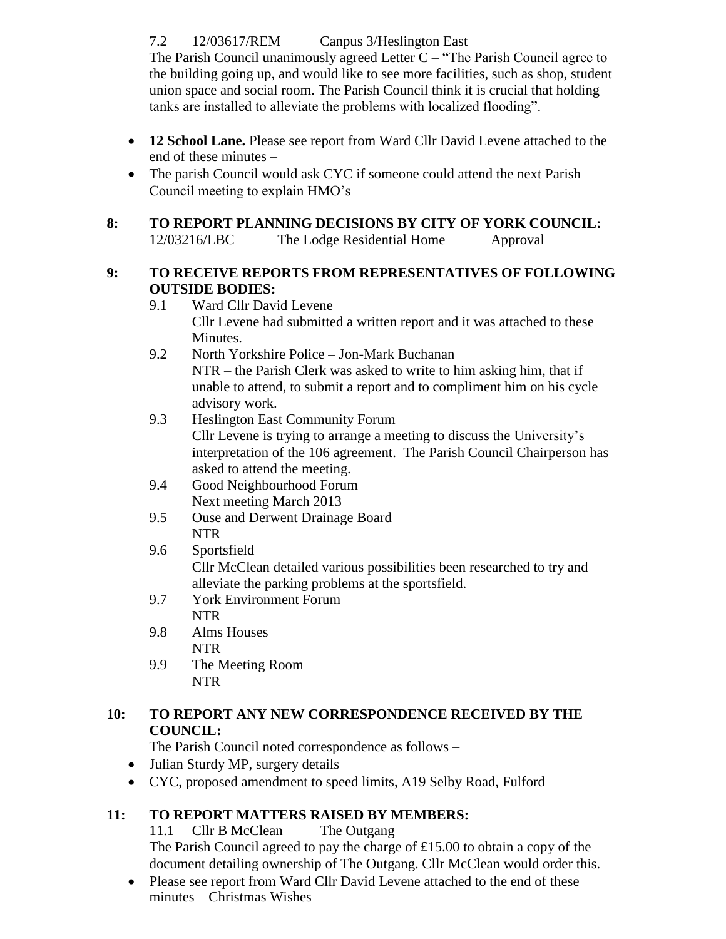7.2 12/03617/REM Canpus 3/Heslington East

The Parish Council unanimously agreed Letter  $C -$  "The Parish Council agree to the building going up, and would like to see more facilities, such as shop, student union space and social room. The Parish Council think it is crucial that holding tanks are installed to alleviate the problems with localized flooding".

- **12 School Lane.** Please see report from Ward Cllr David Levene attached to the end of these minutes –
- The parish Council would ask CYC if someone could attend the next Parish Council meeting to explain HMO's
- **8: TO REPORT PLANNING DECISIONS BY CITY OF YORK COUNCIL:** 12/03216/LBC The Lodge Residential Home Approval

# **9: TO RECEIVE REPORTS FROM REPRESENTATIVES OF FOLLOWING OUTSIDE BODIES:**

- 9.1 Ward Cllr David Levene Cllr Levene had submitted a written report and it was attached to these Minutes.
- 9.2 North Yorkshire Police Jon-Mark Buchanan NTR – the Parish Clerk was asked to write to him asking him, that if unable to attend, to submit a report and to compliment him on his cycle advisory work.
- 9.3 Heslington East Community Forum Cllr Levene is trying to arrange a meeting to discuss the University's interpretation of the 106 agreement. The Parish Council Chairperson has asked to attend the meeting.
- 9.4 Good Neighbourhood Forum Next meeting March 2013
- 9.5 Ouse and Derwent Drainage Board NTR
- 9.6 Sportsfield

Cllr McClean detailed various possibilities been researched to try and alleviate the parking problems at the sportsfield.

- 9.7 York Environment Forum NTR
- 9.8 Alms Houses NTR
- 9.9 The Meeting Room NTR

# **10: TO REPORT ANY NEW CORRESPONDENCE RECEIVED BY THE COUNCIL:**

The Parish Council noted correspondence as follows –

- Julian Sturdy MP, surgery details
- CYC, proposed amendment to speed limits, A19 Selby Road, Fulford

# **11: TO REPORT MATTERS RAISED BY MEMBERS:**

11.1 Cllr B McClean The Outgang The Parish Council agreed to pay the charge of £15.00 to obtain a copy of the document detailing ownership of The Outgang. Cllr McClean would order this.

• Please see report from Ward Cllr David Levene attached to the end of these minutes – Christmas Wishes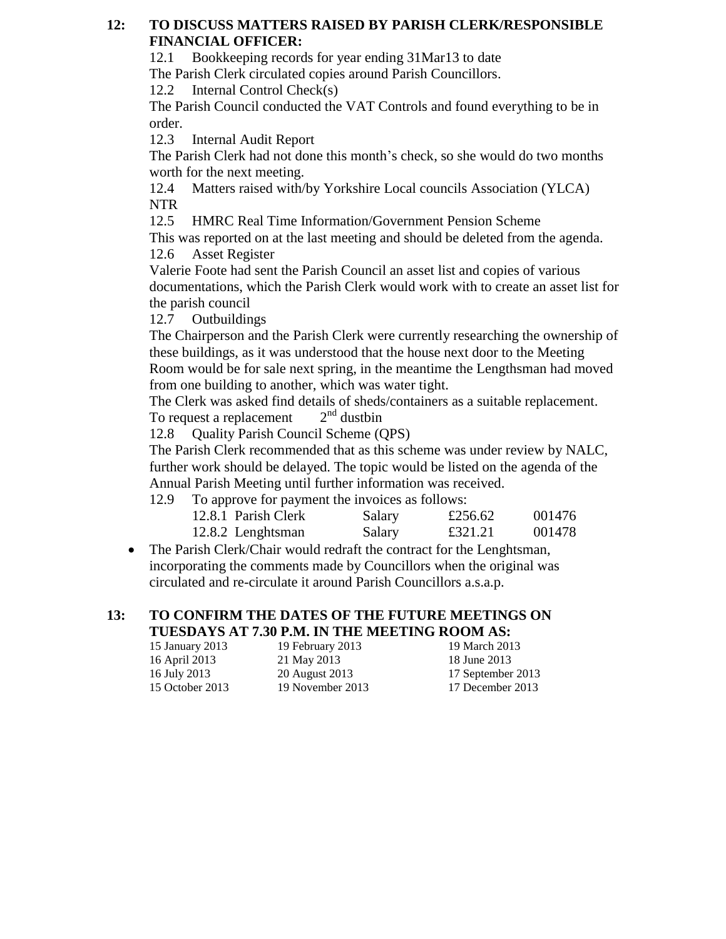# **12: TO DISCUSS MATTERS RAISED BY PARISH CLERK/RESPONSIBLE FINANCIAL OFFICER:**

12.1 Bookkeeping records for year ending 31Mar13 to date

The Parish Clerk circulated copies around Parish Councillors.

12.2 Internal Control Check(s)

The Parish Council conducted the VAT Controls and found everything to be in order.

12.3 Internal Audit Report

The Parish Clerk had not done this month's check, so she would do two months worth for the next meeting.

12.4 Matters raised with/by Yorkshire Local councils Association (YLCA) NTR

12.5 HMRC Real Time Information/Government Pension Scheme

This was reported on at the last meeting and should be deleted from the agenda. 12.6 Asset Register

Valerie Foote had sent the Parish Council an asset list and copies of various documentations, which the Parish Clerk would work with to create an asset list for the parish council

12.7 Outbuildings

The Chairperson and the Parish Clerk were currently researching the ownership of these buildings, as it was understood that the house next door to the Meeting Room would be for sale next spring, in the meantime the Lengthsman had moved from one building to another, which was water tight.

The Clerk was asked find details of sheds/containers as a suitable replacement. To request a replacement  $2<sup>nd</sup>$  dustbin

12.8 Ouality Parish Council Scheme (OPS)

The Parish Clerk recommended that as this scheme was under review by NALC, further work should be delayed. The topic would be listed on the agenda of the Annual Parish Meeting until further information was received.

12.9 To approve for payment the invoices as follows:

| 12.8.1 Parish Clerk | Salary | £256.62 | 001476 |
|---------------------|--------|---------|--------|
| 12.8.2 Lenghtsman   | Salary | £321.21 | 001478 |

• The Parish Clerk/Chair would redraft the contract for the Lenghtsman, incorporating the comments made by Councillors when the original was circulated and re-circulate it around Parish Councillors a.s.a.p.

# **13: TO CONFIRM THE DATES OF THE FUTURE MEETINGS ON TUESDAYS AT 7.30 P.M. IN THE MEETING ROOM AS:**

| 15 January 2013 | 19 February 2013 | 19 March 2013     |
|-----------------|------------------|-------------------|
| 16 April 2013   | 21 May 2013      | 18 June 2013      |
| 16 July 2013    | 20 August 2013   | 17 September 2013 |
| 15 October 2013 | 19 November 2013 | 17 December 2013  |